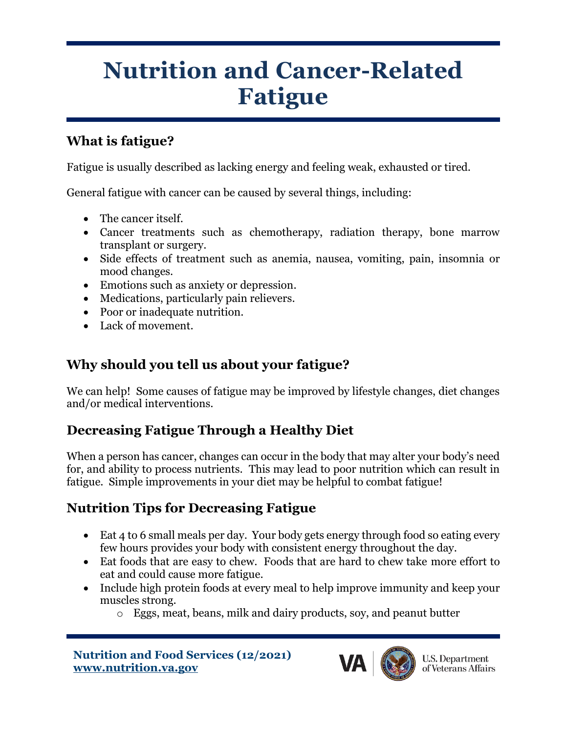# **Nutrition and Cancer-Related Fatigue**

### **What is fatigue?**

Fatigue is usually described as lacking energy and feeling weak, exhausted or tired.

General fatigue with cancer can be caused by several things, including:

- The cancer itself.
- Cancer treatments such as chemotherapy, radiation therapy, bone marrow transplant or surgery.
- Side effects of treatment such as anemia, nausea, vomiting, pain, insomnia or mood changes.
- Emotions such as anxiety or depression.
- Medications, particularly pain relievers.
- Poor or inadequate nutrition.
- Lack of movement.

#### **Why should you tell us about your fatigue?**

We can help! Some causes of fatigue may be improved by lifestyle changes, diet changes and/or medical interventions.

### **Decreasing Fatigue Through a Healthy Diet**

When a person has cancer, changes can occur in the body that may alter your body's need for, and ability to process nutrients. This may lead to poor nutrition which can result in fatigue. Simple improvements in your diet may be helpful to combat fatigue!

### **Nutrition Tips for Decreasing Fatigue**

- Eat 4 to 6 small meals per day. Your body gets energy through food so eating every few hours provides your body with consistent energy throughout the day.
- Eat foods that are easy to chew. Foods that are hard to chew take more effort to eat and could cause more fatigue.
- Include high protein foods at every meal to help improve immunity and keep your muscles strong.
	- o Eggs, meat, beans, milk and dairy products, soy, and peanut butter